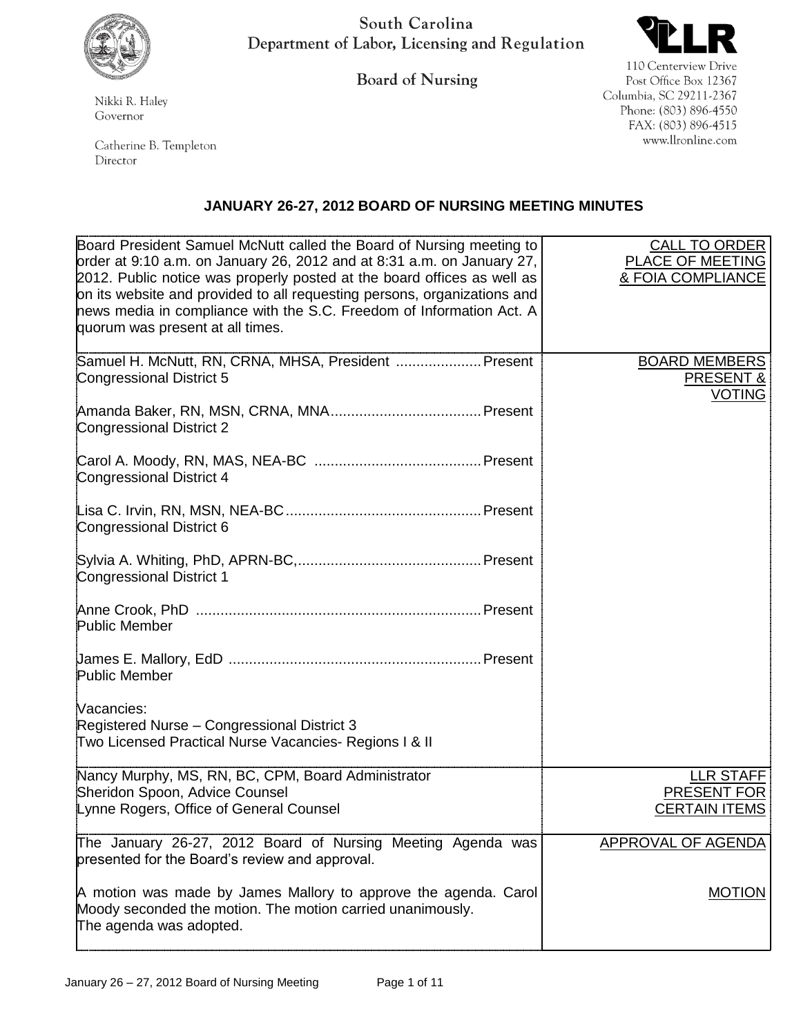

South Carolina Department of Labor, Licensing and Regulation

**Board of Nursing** 



110 Centerview Drive Post Office Box 12367 Columbia, SC 29211-2367 Phone: (803) 896-4550 FAX: (803) 896-4515 www.llronline.com

Nikki R. Haley Governor

Catherine B. Templeton Director

## **JANUARY 26-27, 2012 BOARD OF NURSING MEETING MINUTES**

| Board President Samuel McNutt called the Board of Nursing meeting to<br>order at 9:10 a.m. on January 26, 2012 and at 8:31 a.m. on January 27,<br>2012. Public notice was properly posted at the board offices as well as<br>on its website and provided to all requesting persons, organizations and<br>hews media in compliance with the S.C. Freedom of Information Act. A<br>quorum was present at all times. | <b>CALL TO ORDER</b><br>PLACE OF MEETING<br>& FOIA COMPLIANCE |
|-------------------------------------------------------------------------------------------------------------------------------------------------------------------------------------------------------------------------------------------------------------------------------------------------------------------------------------------------------------------------------------------------------------------|---------------------------------------------------------------|
| Samuel H. McNutt, RN, CRNA, MHSA, President  Present<br>Congressional District 5                                                                                                                                                                                                                                                                                                                                  | <b>BOARD MEMBERS</b><br><b>PRESENT &amp;</b><br><b>VOTING</b> |
| <b>Congressional District 2</b>                                                                                                                                                                                                                                                                                                                                                                                   |                                                               |
| Congressional District 4                                                                                                                                                                                                                                                                                                                                                                                          |                                                               |
| Congressional District 6                                                                                                                                                                                                                                                                                                                                                                                          |                                                               |
| Congressional District 1                                                                                                                                                                                                                                                                                                                                                                                          |                                                               |
| <b>Public Member</b>                                                                                                                                                                                                                                                                                                                                                                                              |                                                               |
| <b>Public Member</b>                                                                                                                                                                                                                                                                                                                                                                                              |                                                               |
| Vacancies:<br>Registered Nurse - Congressional District 3<br>Two Licensed Practical Nurse Vacancies- Regions I & II                                                                                                                                                                                                                                                                                               |                                                               |
| Nancy Murphy, MS, RN, BC, CPM, Board Administrator<br>Sheridon Spoon, Advice Counsel<br>Lynne Rogers, Office of General Counsel                                                                                                                                                                                                                                                                                   | LLR STAFF<br>PRESENT FOR<br><b>CERTAIN ITEMS</b>              |
| The January 26-27, 2012 Board of Nursing Meeting Agenda was<br>presented for the Board's review and approval.                                                                                                                                                                                                                                                                                                     | APPROVAL OF AGENDA                                            |
| A motion was made by James Mallory to approve the agenda. Carol<br>Moody seconded the motion. The motion carried unanimously.<br>The agenda was adopted.                                                                                                                                                                                                                                                          | <b>MOTION</b>                                                 |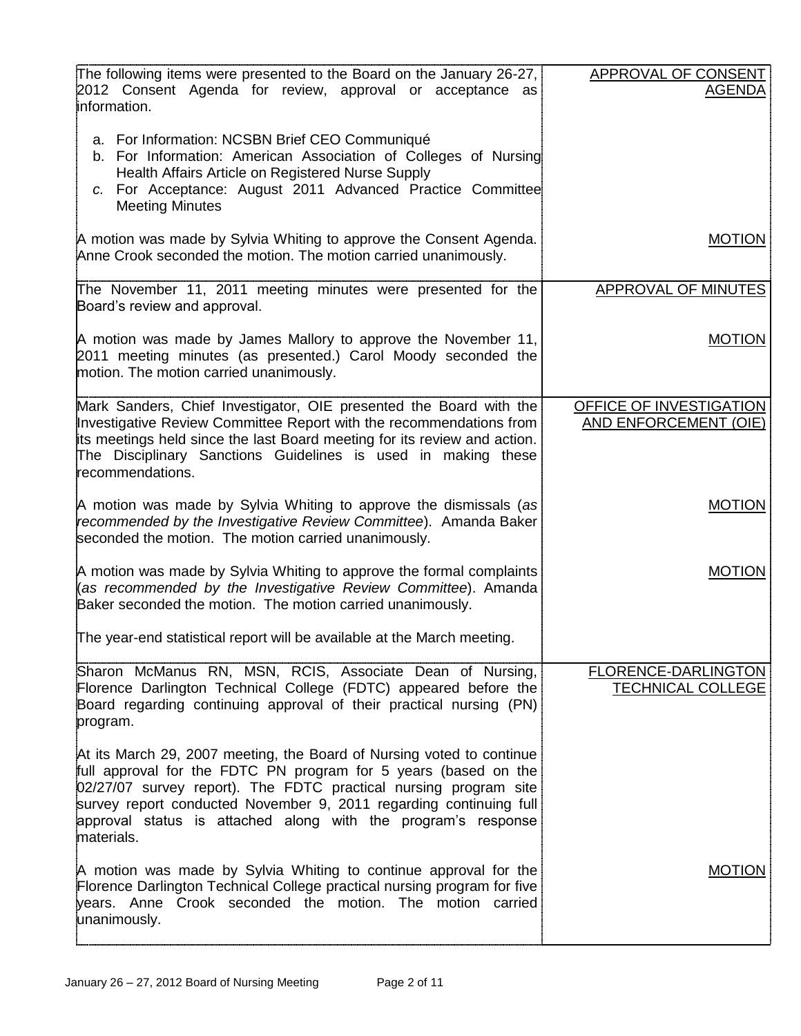| The following items were presented to the Board on the January 26-27,                                                                            | APPROVAL OF CONSENT          |
|--------------------------------------------------------------------------------------------------------------------------------------------------|------------------------------|
| 2012 Consent Agenda for review, approval or acceptance as                                                                                        | <b>AGENDA</b>                |
| information.                                                                                                                                     |                              |
| a. For Information: NCSBN Brief CEO Communiqué                                                                                                   |                              |
| b. For Information: American Association of Colleges of Nursing                                                                                  |                              |
| Health Affairs Article on Registered Nurse Supply<br>c. For Acceptance: August 2011 Advanced Practice Committee                                  |                              |
| <b>Meeting Minutes</b>                                                                                                                           |                              |
| A motion was made by Sylvia Whiting to approve the Consent Agenda.                                                                               | <b>MOTION</b>                |
| Anne Crook seconded the motion. The motion carried unanimously.                                                                                  |                              |
|                                                                                                                                                  |                              |
| The November 11, 2011 meeting minutes were presented for the<br>Board's review and approval.                                                     | <b>APPROVAL OF MINUTES</b>   |
|                                                                                                                                                  |                              |
| A motion was made by James Mallory to approve the November 11,                                                                                   | <b>MOTION</b>                |
| 2011 meeting minutes (as presented.) Carol Moody seconded the<br>motion. The motion carried unanimously.                                         |                              |
|                                                                                                                                                  |                              |
| Mark Sanders, Chief Investigator, OIE presented the Board with the                                                                               | OFFICE OF INVESTIGATION      |
| Investigative Review Committee Report with the recommendations from<br>its meetings held since the last Board meeting for its review and action. | <b>AND ENFORCEMENT (OIE)</b> |
| The Disciplinary Sanctions Guidelines is used in making these                                                                                    |                              |
| recommendations.                                                                                                                                 |                              |
| A motion was made by Sylvia Whiting to approve the dismissals (as                                                                                | <b>MOTION</b>                |
| recommended by the Investigative Review Committee). Amanda Baker                                                                                 |                              |
| seconded the motion. The motion carried unanimously.                                                                                             |                              |
| A motion was made by Sylvia Whiting to approve the formal complaints                                                                             | <b>MOTION</b>                |
| (as recommended by the Investigative Review Committee). Amanda                                                                                   |                              |
| Baker seconded the motion. The motion carried unanimously.                                                                                       |                              |
| The year-end statistical report will be available at the March meeting.                                                                          |                              |
| Sharon McManus RN, MSN, RCIS, Associate Dean of Nursing,                                                                                         | FLORENCE-DARLINGTON          |
| Florence Darlington Technical College (FDTC) appeared before the                                                                                 | <b>TECHNICAL COLLEGE</b>     |
| Board regarding continuing approval of their practical nursing (PN)                                                                              |                              |
| program.                                                                                                                                         |                              |
| At its March 29, 2007 meeting, the Board of Nursing voted to continue                                                                            |                              |
| full approval for the FDTC PN program for 5 years (based on the<br>02/27/07 survey report). The FDTC practical nursing program site              |                              |
| survey report conducted November 9, 2011 regarding continuing full                                                                               |                              |
| approval status is attached along with the program's response                                                                                    |                              |
| materials.                                                                                                                                       |                              |
| A motion was made by Sylvia Whiting to continue approval for the                                                                                 | <b>MOTION</b>                |
| Florence Darlington Technical College practical nursing program for five                                                                         |                              |
| years. Anne Crook seconded the motion. The motion carried<br>unanimously.                                                                        |                              |
|                                                                                                                                                  |                              |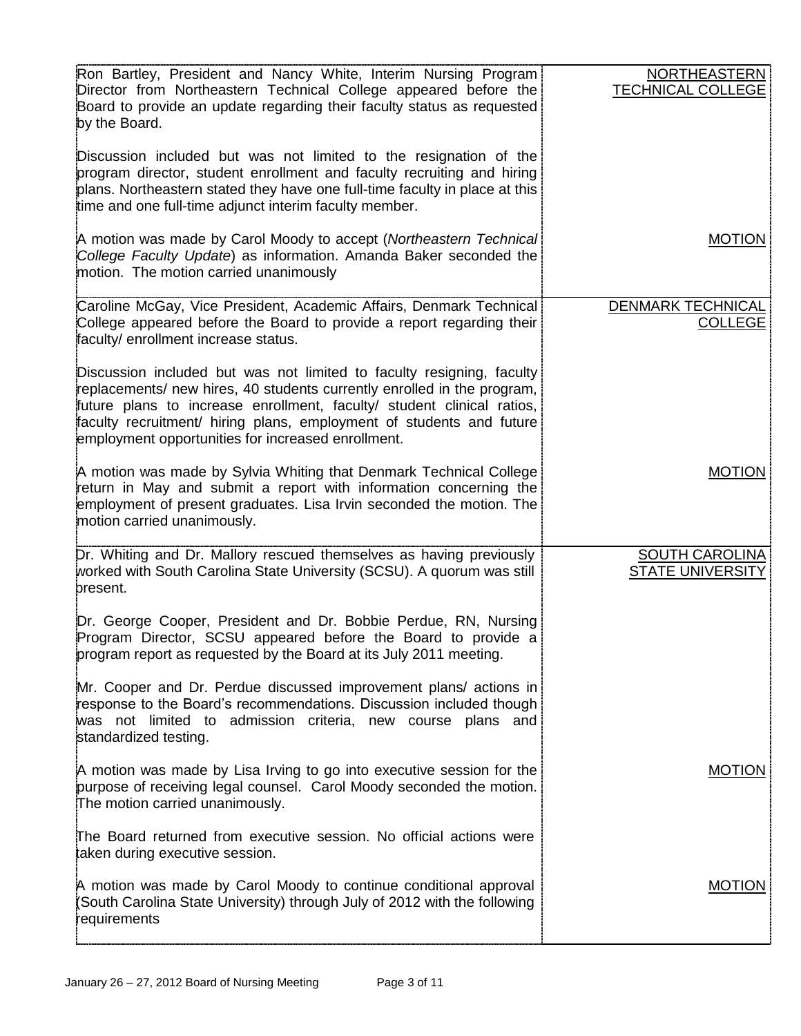| Ron Bartley, President and Nancy White, Interim Nursing Program<br>Director from Northeastern Technical College appeared before the<br>Board to provide an update regarding their faculty status as requested<br>by the Board.<br>Discussion included but was not limited to the resignation of the<br>program director, student enrollment and faculty recruiting and hiring<br>plans. Northeastern stated they have one full-time faculty in place at this<br>time and one full-time adjunct interim faculty member. | <b>NORTHEASTERN</b><br><b>TECHNICAL COLLEGE</b>  |
|------------------------------------------------------------------------------------------------------------------------------------------------------------------------------------------------------------------------------------------------------------------------------------------------------------------------------------------------------------------------------------------------------------------------------------------------------------------------------------------------------------------------|--------------------------------------------------|
| A motion was made by Carol Moody to accept (Northeastern Technical<br>College Faculty Update) as information. Amanda Baker seconded the<br>motion. The motion carried unanimously                                                                                                                                                                                                                                                                                                                                      | <b>MOTION</b>                                    |
| Caroline McGay, Vice President, Academic Affairs, Denmark Technical<br>College appeared before the Board to provide a report regarding their<br>faculty/ enrollment increase status.                                                                                                                                                                                                                                                                                                                                   | <b>DENMARK TECHNICAL</b><br><b>COLLEGE</b>       |
| Discussion included but was not limited to faculty resigning, faculty<br>replacements/ new hires, 40 students currently enrolled in the program,<br>future plans to increase enrollment, faculty/ student clinical ratios,<br>faculty recruitment/ hiring plans, employment of students and future<br>employment opportunities for increased enrollment.                                                                                                                                                               |                                                  |
| A motion was made by Sylvia Whiting that Denmark Technical College<br>return in May and submit a report with information concerning the<br>employment of present graduates. Lisa Irvin seconded the motion. The<br>motion carried unanimously.                                                                                                                                                                                                                                                                         | <b>MOTION</b>                                    |
| Dr. Whiting and Dr. Mallory rescued themselves as having previously<br>worked with South Carolina State University (SCSU). A quorum was still<br>present.                                                                                                                                                                                                                                                                                                                                                              | <b>SOUTH CAROLINA</b><br><b>STATE UNIVERSITY</b> |
| Dr. George Cooper, President and Dr. Bobbie Perdue, RN, Nursing<br>Program Director, SCSU appeared before the Board to provide a<br>program report as requested by the Board at its July 2011 meeting.                                                                                                                                                                                                                                                                                                                 |                                                  |
| Mr. Cooper and Dr. Perdue discussed improvement plans/ actions in<br>response to the Board's recommendations. Discussion included though<br>was not limited to admission criteria, new course plans and<br>standardized testing.                                                                                                                                                                                                                                                                                       |                                                  |
| A motion was made by Lisa Irving to go into executive session for the<br>purpose of receiving legal counsel. Carol Moody seconded the motion.<br>The motion carried unanimously.                                                                                                                                                                                                                                                                                                                                       | <b>MOTION</b>                                    |
| The Board returned from executive session. No official actions were<br>taken during executive session.                                                                                                                                                                                                                                                                                                                                                                                                                 |                                                  |
| A motion was made by Carol Moody to continue conditional approval<br>South Carolina State University) through July of 2012 with the following<br>requirements                                                                                                                                                                                                                                                                                                                                                          | <b>MOTION</b>                                    |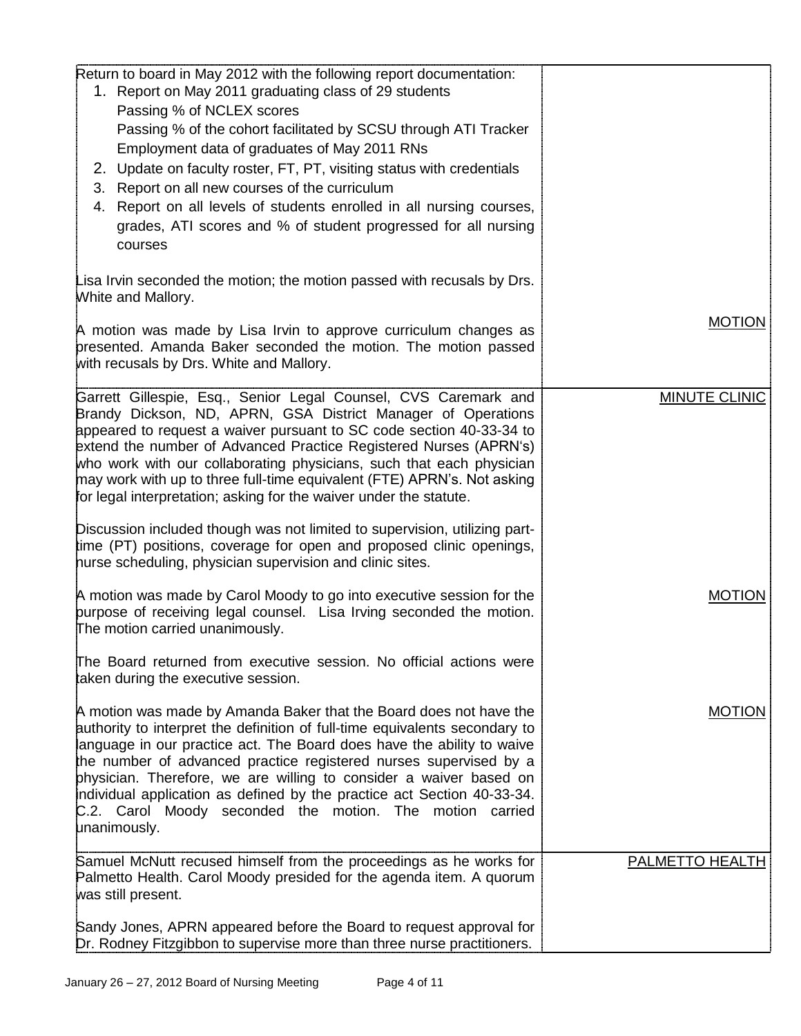| Return to board in May 2012 with the following report documentation:                                                                          |                      |
|-----------------------------------------------------------------------------------------------------------------------------------------------|----------------------|
| 1. Report on May 2011 graduating class of 29 students                                                                                         |                      |
| Passing % of NCLEX scores                                                                                                                     |                      |
| Passing % of the cohort facilitated by SCSU through ATI Tracker                                                                               |                      |
| Employment data of graduates of May 2011 RNs                                                                                                  |                      |
|                                                                                                                                               |                      |
| 2. Update on faculty roster, FT, PT, visiting status with credentials                                                                         |                      |
| 3. Report on all new courses of the curriculum                                                                                                |                      |
| 4. Report on all levels of students enrolled in all nursing courses,                                                                          |                      |
| grades, ATI scores and % of student progressed for all nursing                                                                                |                      |
| courses                                                                                                                                       |                      |
|                                                                                                                                               |                      |
| Lisa Irvin seconded the motion; the motion passed with recusals by Drs.                                                                       |                      |
| White and Mallory.                                                                                                                            |                      |
| A motion was made by Lisa Irvin to approve curriculum changes as                                                                              | <b>MOTION</b>        |
| presented. Amanda Baker seconded the motion. The motion passed                                                                                |                      |
| with recusals by Drs. White and Mallory.                                                                                                      |                      |
|                                                                                                                                               |                      |
| Garrett Gillespie, Esq., Senior Legal Counsel, CVS Caremark and                                                                               | <b>MINUTE CLINIC</b> |
| Brandy Dickson, ND, APRN, GSA District Manager of Operations                                                                                  |                      |
| appeared to request a waiver pursuant to SC code section 40-33-34 to                                                                          |                      |
| extend the number of Advanced Practice Registered Nurses (APRN's)                                                                             |                      |
| who work with our collaborating physicians, such that each physician                                                                          |                      |
| may work with up to three full-time equivalent (FTE) APRN's. Not asking<br>for legal interpretation; asking for the waiver under the statute. |                      |
|                                                                                                                                               |                      |
| Discussion included though was not limited to supervision, utilizing part-                                                                    |                      |
| time (PT) positions, coverage for open and proposed clinic openings,                                                                          |                      |
| hurse scheduling, physician supervision and clinic sites.                                                                                     |                      |
|                                                                                                                                               |                      |
| A motion was made by Carol Moody to go into executive session for the                                                                         | <b>MOTION</b>        |
| burpose of receiving legal counsel. Lisa Irving seconded the motion.                                                                          |                      |
| The motion carried unanimously.                                                                                                               |                      |
| The Board returned from executive session. No official actions were                                                                           |                      |
| taken during the executive session.                                                                                                           |                      |
|                                                                                                                                               |                      |
| A motion was made by Amanda Baker that the Board does not have the                                                                            | <b>MOTION</b>        |
| authority to interpret the definition of full-time equivalents secondary to                                                                   |                      |
| language in our practice act. The Board does have the ability to waive                                                                        |                      |
| the number of advanced practice registered nurses supervised by a                                                                             |                      |
| physician. Therefore, we are willing to consider a waiver based on                                                                            |                      |
| individual application as defined by the practice act Section 40-33-34.                                                                       |                      |
| C.2. Carol Moody seconded the motion. The motion carried<br>unanimously.                                                                      |                      |
|                                                                                                                                               |                      |
| Samuel McNutt recused himself from the proceedings as he works for                                                                            | PALMETTO HEALTH      |
| Palmetto Health. Carol Moody presided for the agenda item. A quorum                                                                           |                      |
| was still present.                                                                                                                            |                      |
|                                                                                                                                               |                      |
| Sandy Jones, APRN appeared before the Board to request approval for                                                                           |                      |
| Dr. Rodney Fitzgibbon to supervise more than three nurse practitioners.                                                                       |                      |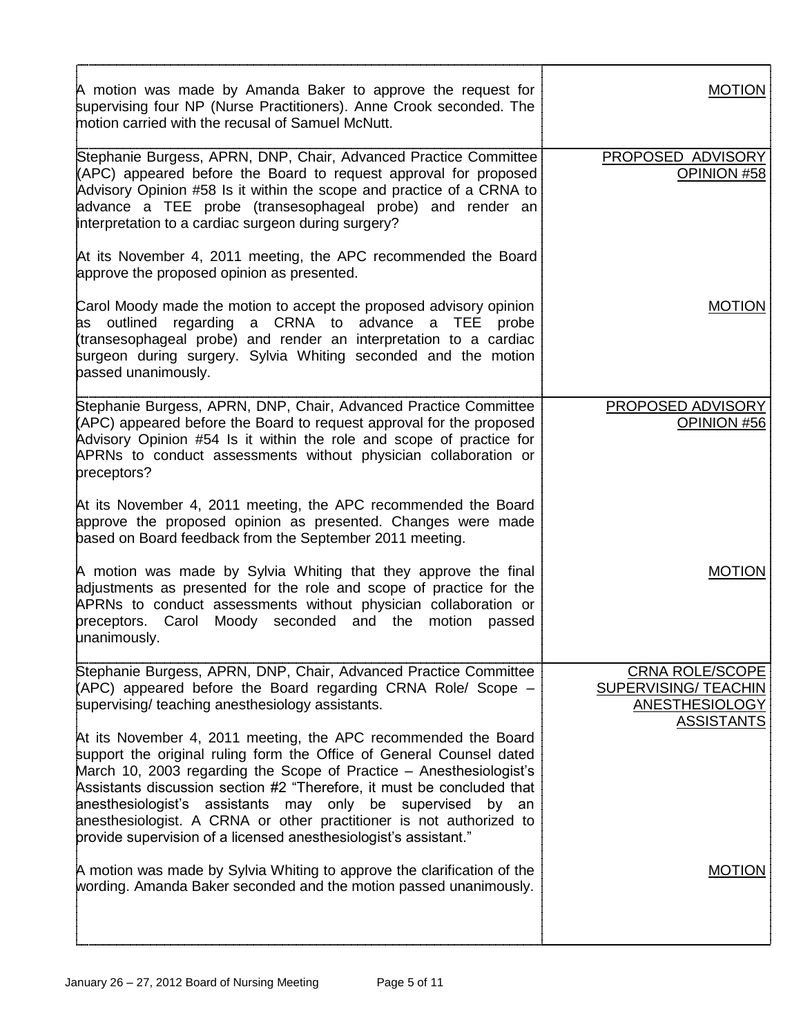| A motion was made by Amanda Baker to approve the request for<br>supervising four NP (Nurse Practitioners). Anne Crook seconded. The<br>motion carried with the recusal of Samuel McNutt.                                                                                                                                                                                                                                                                                                            | MOTION                                                                  |
|-----------------------------------------------------------------------------------------------------------------------------------------------------------------------------------------------------------------------------------------------------------------------------------------------------------------------------------------------------------------------------------------------------------------------------------------------------------------------------------------------------|-------------------------------------------------------------------------|
| Stephanie Burgess, APRN, DNP, Chair, Advanced Practice Committee<br>(APC) appeared before the Board to request approval for proposed<br>Advisory Opinion #58 Is it within the scope and practice of a CRNA to<br>advance a TEE probe (transesophageal probe) and render an<br>interpretation to a cardiac surgeon during surgery?                                                                                                                                                                   | PROPOSED ADVISORY<br>OPINION #58                                        |
| At its November 4, 2011 meeting, the APC recommended the Board<br>approve the proposed opinion as presented.                                                                                                                                                                                                                                                                                                                                                                                        |                                                                         |
| Carol Moody made the motion to accept the proposed advisory opinion<br>as outlined regarding a CRNA to advance a TEE<br>probe<br>transesophageal probe) and render an interpretation to a cardiac<br>surgeon during surgery. Sylvia Whiting seconded and the motion<br>passed unanimously.                                                                                                                                                                                                          | <b>MOTION</b>                                                           |
| Stephanie Burgess, APRN, DNP, Chair, Advanced Practice Committee<br>(APC) appeared before the Board to request approval for the proposed<br>Advisory Opinion #54 Is it within the role and scope of practice for<br>APRNs to conduct assessments without physician collaboration or<br>preceptors?                                                                                                                                                                                                  | PROPOSED ADVISORY<br>OPINION #56                                        |
| At its November 4, 2011 meeting, the APC recommended the Board<br>approve the proposed opinion as presented. Changes were made<br>based on Board feedback from the September 2011 meeting.                                                                                                                                                                                                                                                                                                          |                                                                         |
| A motion was made by Sylvia Whiting that they approve the final<br>adjustments as presented for the role and scope of practice for the<br>APRNs to conduct assessments without physician collaboration or<br>Moody seconded<br>and the<br>preceptors. Carol<br>motion<br>passed<br>unanimously.                                                                                                                                                                                                     | <b>MOTION</b>                                                           |
| Stephanie Burgess, APRN, DNP, Chair, Advanced Practice Committee<br>(APC) appeared before the Board regarding CRNA Role/ Scope –<br>supervising/ teaching anesthesiology assistants.                                                                                                                                                                                                                                                                                                                | <b>CRNA ROLE/SCOPE</b><br>SUPERVISING/ TEACHIN<br><b>ANESTHESIOLOGY</b> |
| At its November 4, 2011 meeting, the APC recommended the Board<br>support the original ruling form the Office of General Counsel dated<br>March 10, 2003 regarding the Scope of Practice - Anesthesiologist's<br>Assistants discussion section #2 "Therefore, it must be concluded that<br>anesthesiologist's assistants may only be supervised<br>by an<br>anesthesiologist. A CRNA or other practitioner is not authorized to<br>provide supervision of a licensed anesthesiologist's assistant." | <b>ASSISTANTS</b>                                                       |
| A motion was made by Sylvia Whiting to approve the clarification of the<br>wording. Amanda Baker seconded and the motion passed unanimously.                                                                                                                                                                                                                                                                                                                                                        | <b>MOTION</b>                                                           |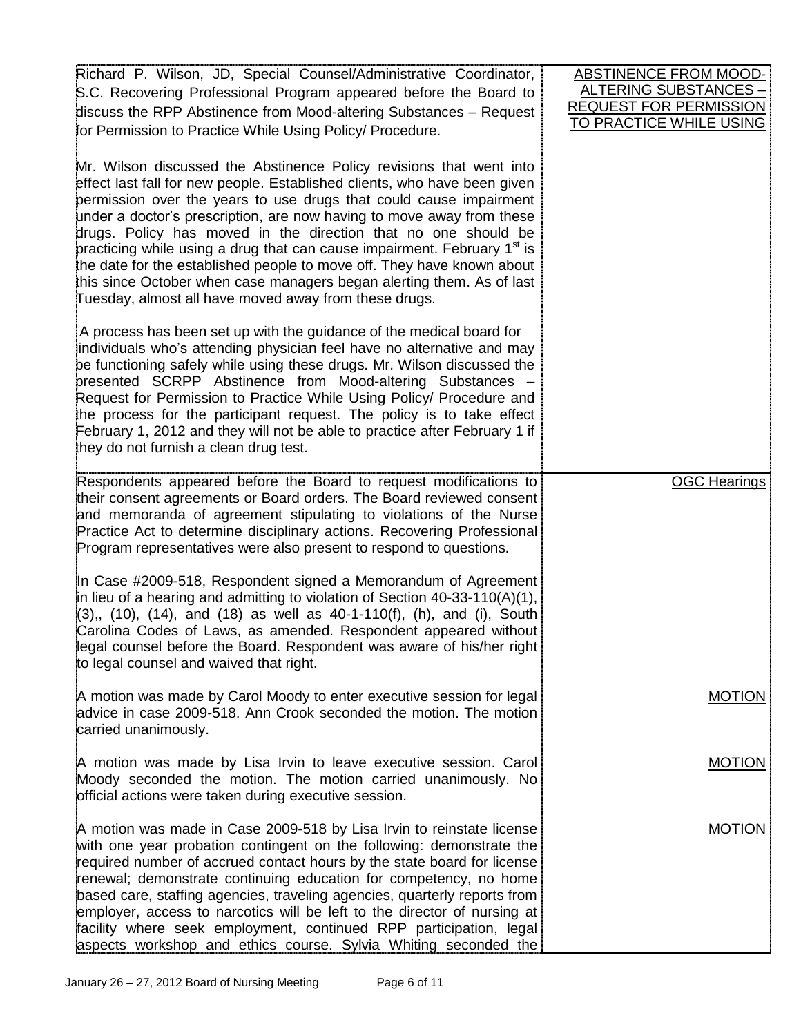| Richard P. Wilson, JD, Special Counsel/Administrative Coordinator,<br>S.C. Recovering Professional Program appeared before the Board to<br>discuss the RPP Abstinence from Mood-altering Substances - Request<br>for Permission to Practice While Using Policy/ Procedure.                                                                                                                                                                                                                                                                                                                                                                                            | <b>ABSTINENCE FROM MOOD-</b><br><u> ALTERING SUBSTANCES – </u><br><b>REQUEST FOR PERMISSION</b><br>TO PRACTICE WHILE USING |
|-----------------------------------------------------------------------------------------------------------------------------------------------------------------------------------------------------------------------------------------------------------------------------------------------------------------------------------------------------------------------------------------------------------------------------------------------------------------------------------------------------------------------------------------------------------------------------------------------------------------------------------------------------------------------|----------------------------------------------------------------------------------------------------------------------------|
| Mr. Wilson discussed the Abstinence Policy revisions that went into<br>effect last fall for new people. Established clients, who have been given<br>permission over the years to use drugs that could cause impairment<br>under a doctor's prescription, are now having to move away from these<br>drugs. Policy has moved in the direction that no one should be<br>practicing while using a drug that can cause impairment. February 1 <sup>st</sup> is<br>the date for the established people to move off. They have known about<br>this since October when case managers began alerting them. As of last<br>Tuesday, almost all have moved away from these drugs. |                                                                                                                            |
| A process has been set up with the guidance of the medical board for<br>individuals who's attending physician feel have no alternative and may<br>be functioning safely while using these drugs. Mr. Wilson discussed the<br>bresented SCRPP Abstinence from Mood-altering Substances -<br>Request for Permission to Practice While Using Policy/ Procedure and<br>the process for the participant request. The policy is to take effect<br>February 1, 2012 and they will not be able to practice after February 1 if<br>they do not furnish a clean drug test.                                                                                                      |                                                                                                                            |
| Respondents appeared before the Board to request modifications to<br>their consent agreements or Board orders. The Board reviewed consent<br>and memoranda of agreement stipulating to violations of the Nurse<br>Practice Act to determine disciplinary actions. Recovering Professional<br>Program representatives were also present to respond to questions.                                                                                                                                                                                                                                                                                                       | <b>OGC Hearings</b>                                                                                                        |
| In Case #2009-518, Respondent signed a Memorandum of Agreement<br>in lieu of a hearing and admitting to violation of Section 40-33-110(A)(1),<br>$(3),$ (10), (14), and (18) as well as 40-1-110(f), (h), and (i), South<br>Carolina Codes of Laws, as amended. Respondent appeared without<br>legal counsel before the Board. Respondent was aware of his/her right<br>to legal counsel and waived that right.                                                                                                                                                                                                                                                       |                                                                                                                            |
| A motion was made by Carol Moody to enter executive session for legal<br>advice in case 2009-518. Ann Crook seconded the motion. The motion<br>carried unanimously.                                                                                                                                                                                                                                                                                                                                                                                                                                                                                                   | <b>MOTION</b>                                                                                                              |
| A motion was made by Lisa Irvin to leave executive session. Carol<br>Moody seconded the motion. The motion carried unanimously. No<br>official actions were taken during executive session.                                                                                                                                                                                                                                                                                                                                                                                                                                                                           | <b>MOTION</b>                                                                                                              |
| A motion was made in Case 2009-518 by Lisa Irvin to reinstate license<br>with one year probation contingent on the following: demonstrate the<br>required number of accrued contact hours by the state board for license<br>renewal; demonstrate continuing education for competency, no home<br>based care, staffing agencies, traveling agencies, quarterly reports from<br>employer, access to narcotics will be left to the director of nursing at<br>facility where seek employment, continued RPP participation, legal<br>aspects workshop and ethics course. Sylvia Whiting seconded the                                                                       | <b>MOTION</b>                                                                                                              |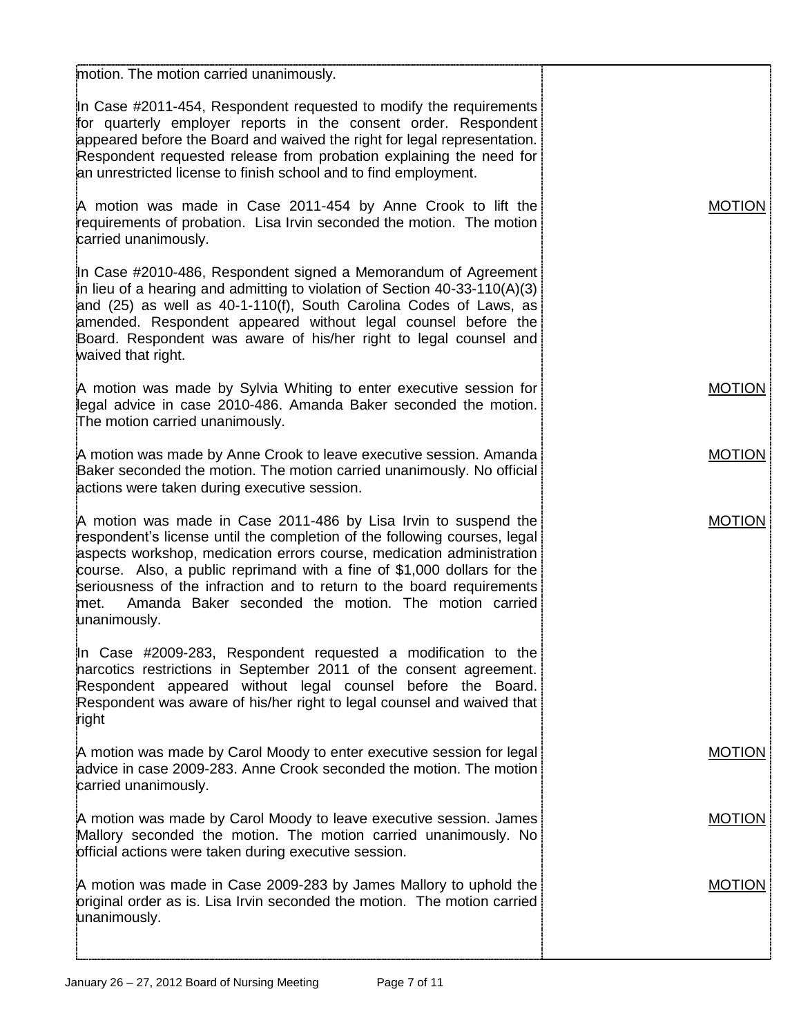| motion. The motion carried unanimously.                                                                                                                                                                                                                                                                                                                                                                                                                   |               |
|-----------------------------------------------------------------------------------------------------------------------------------------------------------------------------------------------------------------------------------------------------------------------------------------------------------------------------------------------------------------------------------------------------------------------------------------------------------|---------------|
| In Case #2011-454, Respondent requested to modify the requirements<br>for quarterly employer reports in the consent order. Respondent<br>appeared before the Board and waived the right for legal representation.<br>Respondent requested release from probation explaining the need for<br>an unrestricted license to finish school and to find employment.                                                                                              |               |
| A motion was made in Case 2011-454 by Anne Crook to lift the<br>requirements of probation. Lisa Irvin seconded the motion. The motion<br>carried unanimously.                                                                                                                                                                                                                                                                                             | <b>MOTION</b> |
| In Case #2010-486, Respondent signed a Memorandum of Agreement<br>in lieu of a hearing and admitting to violation of Section 40-33-110(A)(3)<br>and (25) as well as 40-1-110(f), South Carolina Codes of Laws, as<br>amended. Respondent appeared without legal counsel before the<br>Board. Respondent was aware of his/her right to legal counsel and<br>waived that right.                                                                             |               |
| A motion was made by Sylvia Whiting to enter executive session for<br>legal advice in case 2010-486. Amanda Baker seconded the motion.<br>The motion carried unanimously.                                                                                                                                                                                                                                                                                 | <b>MOTION</b> |
| A motion was made by Anne Crook to leave executive session. Amanda<br>Baker seconded the motion. The motion carried unanimously. No official<br>actions were taken during executive session.                                                                                                                                                                                                                                                              | <b>MOTION</b> |
| A motion was made in Case 2011-486 by Lisa Irvin to suspend the<br>respondent's license until the completion of the following courses, legal<br>aspects workshop, medication errors course, medication administration<br>course. Also, a public reprimand with a fine of \$1,000 dollars for the<br>seriousness of the infraction and to return to the board requirements<br>Amanda Baker seconded the motion. The motion carried<br>met.<br>unanimously. | <b>MOTION</b> |
| In Case #2009-283, Respondent requested a modification to the<br>narcotics restrictions in September 2011 of the consent agreement.<br>Respondent appeared without legal counsel before the Board.<br>Respondent was aware of his/her right to legal counsel and waived that<br>right                                                                                                                                                                     |               |
| A motion was made by Carol Moody to enter executive session for legal<br>advice in case 2009-283. Anne Crook seconded the motion. The motion<br>carried unanimously.                                                                                                                                                                                                                                                                                      | <b>MOTION</b> |
| A motion was made by Carol Moody to leave executive session. James<br>Mallory seconded the motion. The motion carried unanimously. No<br>official actions were taken during executive session.                                                                                                                                                                                                                                                            | <b>MOTION</b> |
| A motion was made in Case 2009-283 by James Mallory to uphold the<br>priginal order as is. Lisa Irvin seconded the motion. The motion carried<br>unanimously.                                                                                                                                                                                                                                                                                             | <b>MOTION</b> |
|                                                                                                                                                                                                                                                                                                                                                                                                                                                           |               |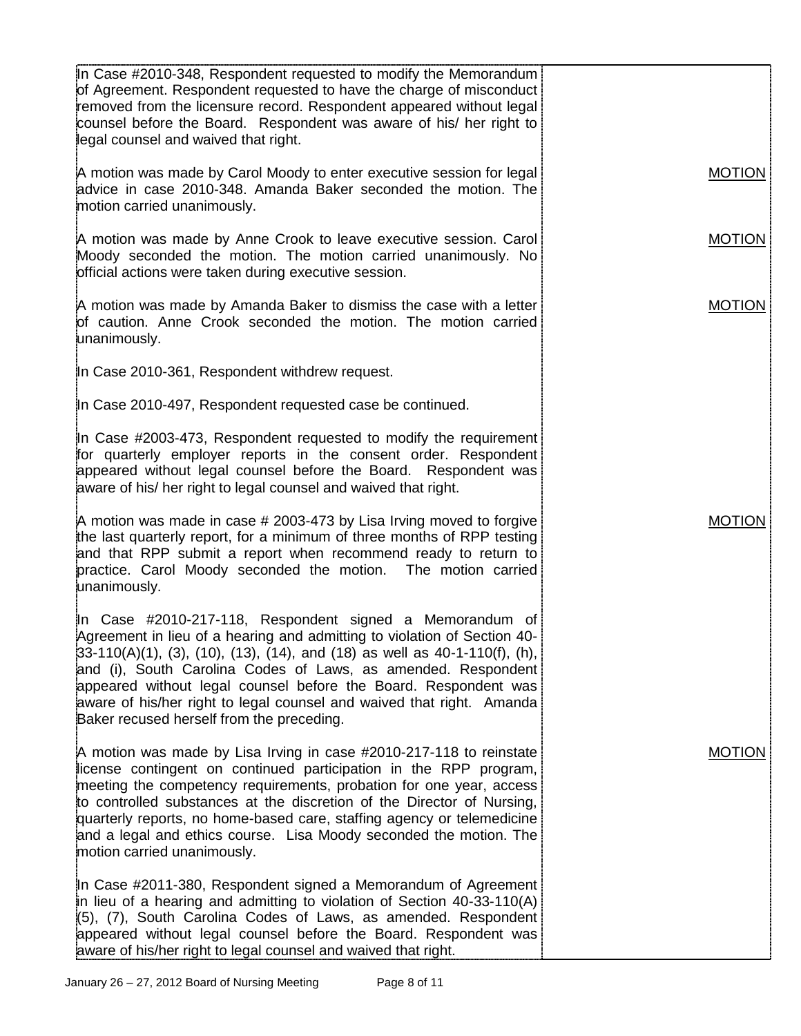| In Case #2010-348, Respondent requested to modify the Memorandum<br>of Agreement. Respondent requested to have the charge of misconduct<br>removed from the licensure record. Respondent appeared without legal<br>counsel before the Board. Respondent was aware of his/ her right to<br>legal counsel and waived that right.                                                                                                                                                  |               |
|---------------------------------------------------------------------------------------------------------------------------------------------------------------------------------------------------------------------------------------------------------------------------------------------------------------------------------------------------------------------------------------------------------------------------------------------------------------------------------|---------------|
| A motion was made by Carol Moody to enter executive session for legal<br>advice in case 2010-348. Amanda Baker seconded the motion. The<br>motion carried unanimously.                                                                                                                                                                                                                                                                                                          | <b>MOTION</b> |
| A motion was made by Anne Crook to leave executive session. Carol<br>Moody seconded the motion. The motion carried unanimously. No<br>official actions were taken during executive session.                                                                                                                                                                                                                                                                                     | <b>MOTION</b> |
| A motion was made by Amanda Baker to dismiss the case with a letter<br>of caution. Anne Crook seconded the motion. The motion carried<br>unanimously.                                                                                                                                                                                                                                                                                                                           | <b>MOTION</b> |
| In Case 2010-361, Respondent withdrew request.                                                                                                                                                                                                                                                                                                                                                                                                                                  |               |
| In Case 2010-497, Respondent requested case be continued.                                                                                                                                                                                                                                                                                                                                                                                                                       |               |
| In Case #2003-473, Respondent requested to modify the requirement<br>for quarterly employer reports in the consent order. Respondent<br>appeared without legal counsel before the Board. Respondent was<br>aware of his/ her right to legal counsel and waived that right.                                                                                                                                                                                                      |               |
| A motion was made in case # 2003-473 by Lisa Irving moved to forgive<br>the last quarterly report, for a minimum of three months of RPP testing<br>and that RPP submit a report when recommend ready to return to<br>practice. Carol Moody seconded the motion. The motion carried<br>unanimously.                                                                                                                                                                              | <b>MOTION</b> |
| In Case #2010-217-118, Respondent signed a Memorandum of<br>Agreement in lieu of a hearing and admitting to violation of Section 40-<br>$33-110(A)(1)$ , (3), (10), (13), (14), and (18) as well as 40-1-110(f), (h),<br>and (i), South Carolina Codes of Laws, as amended. Respondent<br>appeared without legal counsel before the Board. Respondent was<br>aware of his/her right to legal counsel and waived that right. Amanda<br>Baker recused herself from the preceding. |               |
| A motion was made by Lisa Irving in case #2010-217-118 to reinstate<br>license contingent on continued participation in the RPP program,<br>meeting the competency requirements, probation for one year, access<br>to controlled substances at the discretion of the Director of Nursing,<br>quarterly reports, no home-based care, staffing agency or telemedicine<br>and a legal and ethics course. Lisa Moody seconded the motion. The<br>motion carried unanimously.        | <b>MOTION</b> |
| In Case #2011-380, Respondent signed a Memorandum of Agreement<br>in lieu of a hearing and admitting to violation of Section 40-33-110(A)<br>(5), (7), South Carolina Codes of Laws, as amended. Respondent<br>appeared without legal counsel before the Board. Respondent was<br>aware of his/her right to legal counsel and waived that right.                                                                                                                                |               |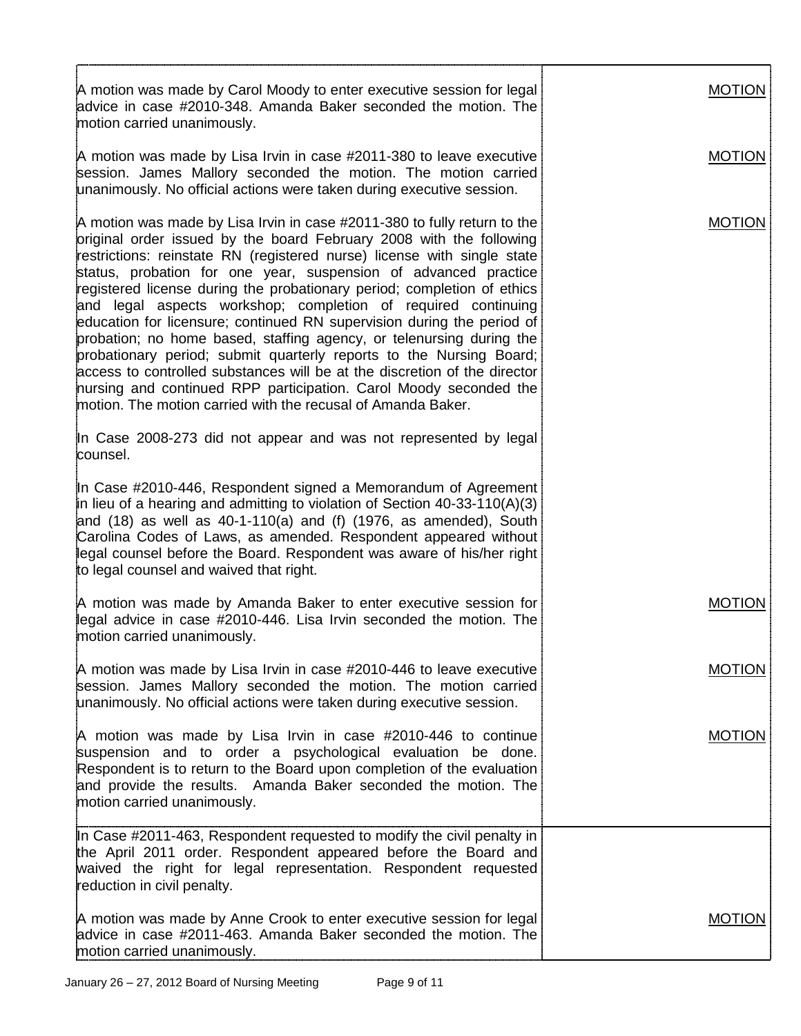| A motion was made by Carol Moody to enter executive session for legal<br>advice in case #2010-348. Amanda Baker seconded the motion. The<br>motion carried unanimously.                                                                                                                                                                                                                                                                                                                                                                                                                                                                                                                                                                                                                                                                                                              | <b>MOTION</b> |
|--------------------------------------------------------------------------------------------------------------------------------------------------------------------------------------------------------------------------------------------------------------------------------------------------------------------------------------------------------------------------------------------------------------------------------------------------------------------------------------------------------------------------------------------------------------------------------------------------------------------------------------------------------------------------------------------------------------------------------------------------------------------------------------------------------------------------------------------------------------------------------------|---------------|
| A motion was made by Lisa Irvin in case #2011-380 to leave executive<br>session. James Mallory seconded the motion. The motion carried<br>unanimously. No official actions were taken during executive session.                                                                                                                                                                                                                                                                                                                                                                                                                                                                                                                                                                                                                                                                      | <b>MOTION</b> |
| A motion was made by Lisa Irvin in case #2011-380 to fully return to the<br>original order issued by the board February 2008 with the following<br>restrictions: reinstate RN (registered nurse) license with single state<br>status, probation for one year, suspension of advanced practice<br>registered license during the probationary period; completion of ethics<br>and legal aspects workshop; completion of required continuing<br>education for licensure; continued RN supervision during the period of<br>probation; no home based, staffing agency, or telenursing during the<br>probationary period; submit quarterly reports to the Nursing Board;<br>access to controlled substances will be at the discretion of the director<br>nursing and continued RPP participation. Carol Moody seconded the<br>motion. The motion carried with the recusal of Amanda Baker. | <b>MOTION</b> |
| In Case 2008-273 did not appear and was not represented by legal<br>counsel.                                                                                                                                                                                                                                                                                                                                                                                                                                                                                                                                                                                                                                                                                                                                                                                                         |               |
| In Case #2010-446, Respondent signed a Memorandum of Agreement<br>in lieu of a hearing and admitting to violation of Section 40-33-110(A)(3)<br>and $(18)$ as well as $40-1-110(a)$ and $(f)$ $(1976, as$ amended), South<br>Carolina Codes of Laws, as amended. Respondent appeared without<br>legal counsel before the Board. Respondent was aware of his/her right<br>to legal counsel and waived that right.                                                                                                                                                                                                                                                                                                                                                                                                                                                                     |               |
| A motion was made by Amanda Baker to enter executive session for<br>legal advice in case #2010-446. Lisa Irvin seconded the motion. The<br>motion carried unanimously.                                                                                                                                                                                                                                                                                                                                                                                                                                                                                                                                                                                                                                                                                                               | <b>MOTION</b> |
| A motion was made by Lisa Irvin in case #2010-446 to leave executive<br>session. James Mallory seconded the motion. The motion carried<br>unanimously. No official actions were taken during executive session.                                                                                                                                                                                                                                                                                                                                                                                                                                                                                                                                                                                                                                                                      | <b>MOTION</b> |
| A motion was made by Lisa Irvin in case #2010-446 to continue<br>suspension and to order a psychological evaluation be done.<br>Respondent is to return to the Board upon completion of the evaluation<br>and provide the results. Amanda Baker seconded the motion. The<br>motion carried unanimously.                                                                                                                                                                                                                                                                                                                                                                                                                                                                                                                                                                              | <b>MOTION</b> |
| In Case #2011-463, Respondent requested to modify the civil penalty in<br>the April 2011 order. Respondent appeared before the Board and<br>waived the right for legal representation. Respondent requested<br>reduction in civil penalty.                                                                                                                                                                                                                                                                                                                                                                                                                                                                                                                                                                                                                                           |               |
| A motion was made by Anne Crook to enter executive session for legal<br>advice in case #2011-463. Amanda Baker seconded the motion. The<br>motion carried unanimously.                                                                                                                                                                                                                                                                                                                                                                                                                                                                                                                                                                                                                                                                                                               | <b>MOTION</b> |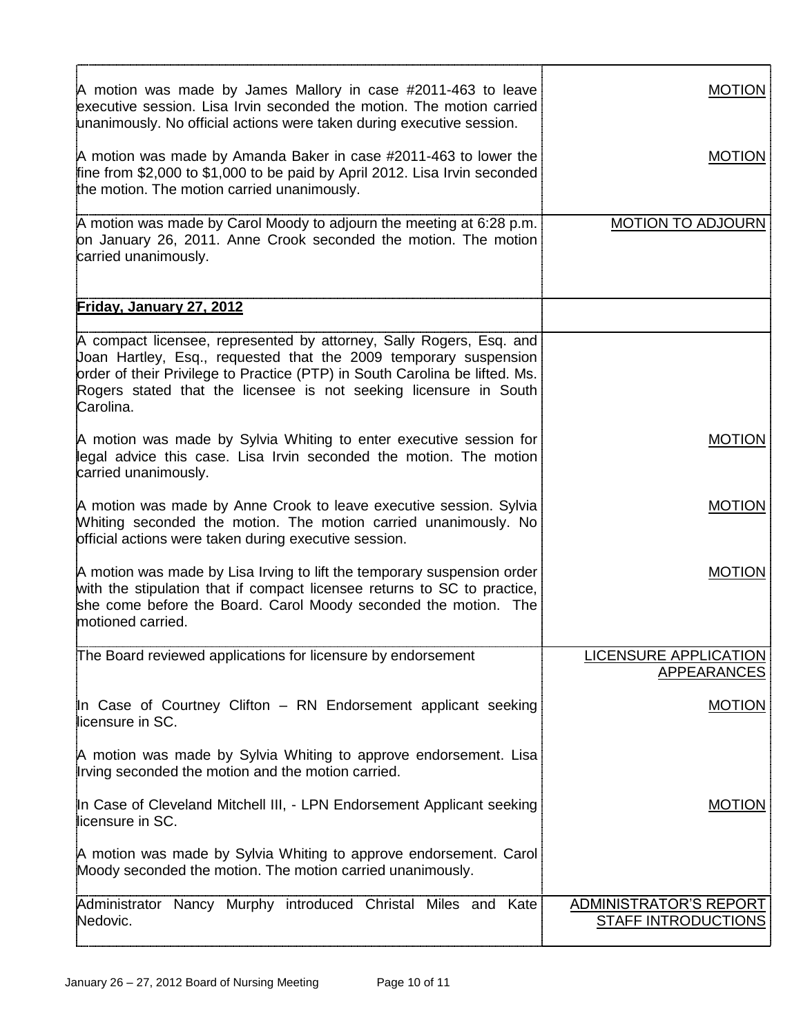| A motion was made by James Mallory in case #2011-463 to leave<br>executive session. Lisa Irvin seconded the motion. The motion carried<br>unanimously. No official actions were taken during executive session.                                                                                          | <b>MOTION</b>                                        |
|----------------------------------------------------------------------------------------------------------------------------------------------------------------------------------------------------------------------------------------------------------------------------------------------------------|------------------------------------------------------|
| A motion was made by Amanda Baker in case #2011-463 to lower the<br>fine from \$2,000 to \$1,000 to be paid by April 2012. Lisa Irvin seconded<br>the motion. The motion carried unanimously.                                                                                                            | <b>MOTION</b>                                        |
| A motion was made by Carol Moody to adjourn the meeting at 6:28 p.m.<br>on January 26, 2011. Anne Crook seconded the motion. The motion<br>carried unanimously.                                                                                                                                          | <b>MOTION TO ADJOURN</b>                             |
| <u>Friday, January 27, 2012</u>                                                                                                                                                                                                                                                                          |                                                      |
| A compact licensee, represented by attorney, Sally Rogers, Esq. and<br>Joan Hartley, Esq., requested that the 2009 temporary suspension<br>order of their Privilege to Practice (PTP) in South Carolina be lifted. Ms.<br>Rogers stated that the licensee is not seeking licensure in South<br>Carolina. |                                                      |
| A motion was made by Sylvia Whiting to enter executive session for<br>legal advice this case. Lisa Irvin seconded the motion. The motion<br>carried unanimously.                                                                                                                                         | <b>MOTION</b>                                        |
| A motion was made by Anne Crook to leave executive session. Sylvia<br>Whiting seconded the motion. The motion carried unanimously. No<br>official actions were taken during executive session.                                                                                                           | <b>MOTION</b>                                        |
| A motion was made by Lisa Irving to lift the temporary suspension order<br>with the stipulation that if compact licensee returns to SC to practice,<br>she come before the Board. Carol Moody seconded the motion. The<br>motioned carried.                                                              | <b>MOTION</b>                                        |
| The Board reviewed applications for licensure by endorsement                                                                                                                                                                                                                                             | <b>LICENSURE APPLICATION</b><br><b>APPEARANCES</b>   |
| In Case of Courtney Clifton - RN Endorsement applicant seeking<br>licensure in SC.                                                                                                                                                                                                                       | <b>MOTION</b>                                        |
| A motion was made by Sylvia Whiting to approve endorsement. Lisa<br>Irving seconded the motion and the motion carried.                                                                                                                                                                                   |                                                      |
| In Case of Cleveland Mitchell III, - LPN Endorsement Applicant seeking<br>licensure in SC.                                                                                                                                                                                                               | <b>MOTION</b>                                        |
| A motion was made by Sylvia Whiting to approve endorsement. Carol<br>Moody seconded the motion. The motion carried unanimously.                                                                                                                                                                          |                                                      |
| Administrator Nancy Murphy introduced Christal Miles and Kate<br>Nedovic.                                                                                                                                                                                                                                | ADMINISTRATOR'S REPORT<br><b>STAFF INTRODUCTIONS</b> |